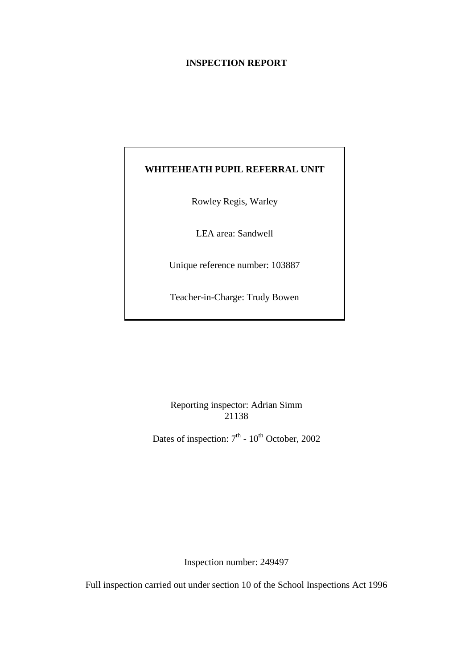## **INSPECTION REPORT**

# **WHITEHEATH PUPIL REFERRAL UNIT**

Rowley Regis, Warley

LEA area: Sandwell

Unique reference number: 103887

Teacher-in-Charge: Trudy Bowen

Reporting inspector: Adrian Simm 21138

Dates of inspection:  $7<sup>th</sup>$  -  $10<sup>th</sup>$  October, 2002

Inspection number: 249497

Full inspection carried out under section 10 of the School Inspections Act 1996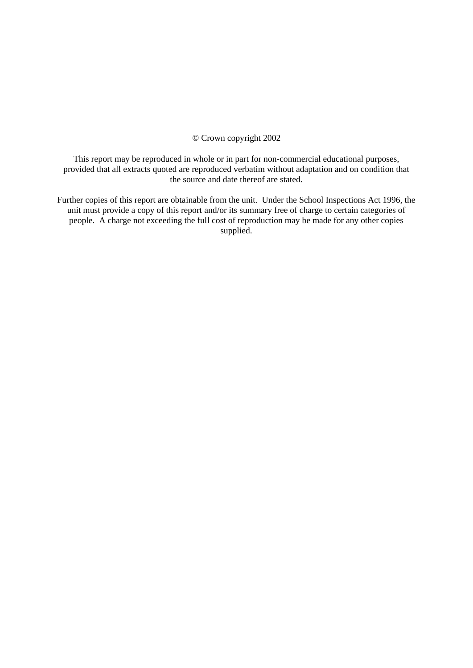#### © Crown copyright 2002

This report may be reproduced in whole or in part for non-commercial educational purposes, provided that all extracts quoted are reproduced verbatim without adaptation and on condition that the source and date thereof are stated.

Further copies of this report are obtainable from the unit. Under the School Inspections Act 1996, the unit must provide a copy of this report and/or its summary free of charge to certain categories of people. A charge not exceeding the full cost of reproduction may be made for any other copies supplied.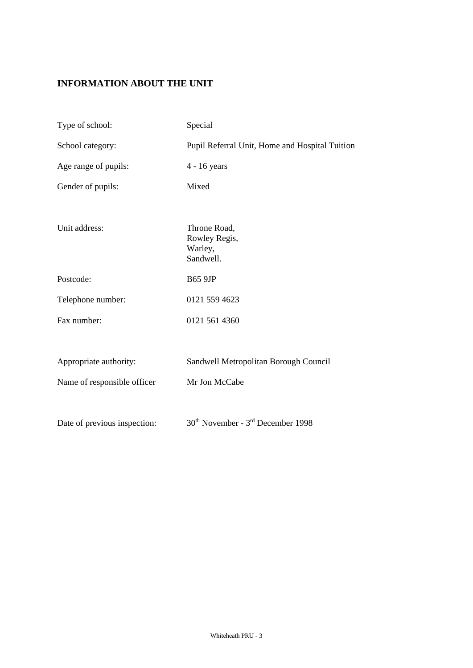# **INFORMATION ABOUT THE UNIT**

| Type of school:              | Special                                                   |
|------------------------------|-----------------------------------------------------------|
| School category:             | Pupil Referral Unit, Home and Hospital Tuition            |
| Age range of pupils:         | 4 - 16 years                                              |
| Gender of pupils:            | Mixed                                                     |
|                              |                                                           |
| Unit address:                | Throne Road,<br>Rowley Regis,<br>Warley,<br>Sandwell.     |
| Postcode:                    | <b>B65 9JP</b>                                            |
| Telephone number:            | 0121 559 4623                                             |
| Fax number:                  | 0121 561 4360                                             |
|                              |                                                           |
| Appropriate authority:       | Sandwell Metropolitan Borough Council                     |
| Name of responsible officer  | Mr Jon McCabe                                             |
|                              |                                                           |
| Date of previous inspection: | 30 <sup>th</sup> November - 3 <sup>rd</sup> December 1998 |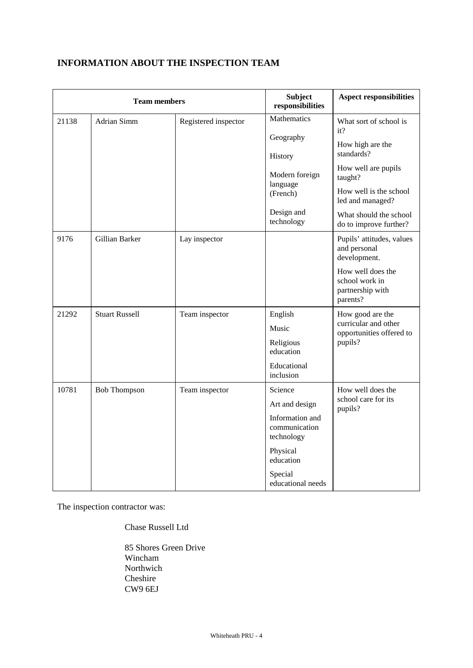| <b>Team members</b> |                                                             |                      | Subject<br>responsibilities                    | <b>Aspect responsibilities</b>                                      |  |
|---------------------|-------------------------------------------------------------|----------------------|------------------------------------------------|---------------------------------------------------------------------|--|
| 21138               | Adrian Simm                                                 | Registered inspector | Mathematics                                    | What sort of school is<br>it?                                       |  |
|                     |                                                             |                      | Geography<br>History                           | How high are the<br>standards?                                      |  |
|                     |                                                             |                      | Modern foreign                                 | How well are pupils<br>taught?                                      |  |
|                     |                                                             |                      | language<br>(French)                           | How well is the school<br>led and managed?                          |  |
|                     |                                                             |                      | Design and<br>technology                       | What should the school<br>do to improve further?                    |  |
| 9176                | Gillian Barker                                              | Lay inspector        |                                                | Pupils' attitudes, values<br>and personal<br>development.           |  |
|                     |                                                             |                      |                                                | How well does the<br>school work in<br>partnership with<br>parents? |  |
| 21292               | <b>Stuart Russell</b><br>English<br>Team inspector<br>Music |                      |                                                | How good are the                                                    |  |
|                     |                                                             |                      |                                                | curricular and other<br>opportunities offered to                    |  |
|                     |                                                             |                      | Religious<br>education                         | pupils?                                                             |  |
|                     |                                                             |                      | Educational<br>inclusion                       |                                                                     |  |
| 10781               | <b>Bob Thompson</b>                                         | Team inspector       | Science                                        | How well does the                                                   |  |
|                     |                                                             |                      | Art and design                                 | school care for its<br>pupils?                                      |  |
|                     |                                                             |                      | Information and<br>communication<br>technology |                                                                     |  |
|                     |                                                             |                      | Physical<br>education                          |                                                                     |  |
|                     |                                                             |                      | Special<br>educational needs                   |                                                                     |  |

# **INFORMATION ABOUT THE INSPECTION TEAM**

The inspection contractor was:

Chase Russell Ltd

85 Shores Green Drive Wincham Northwich Cheshire CW9 6EJ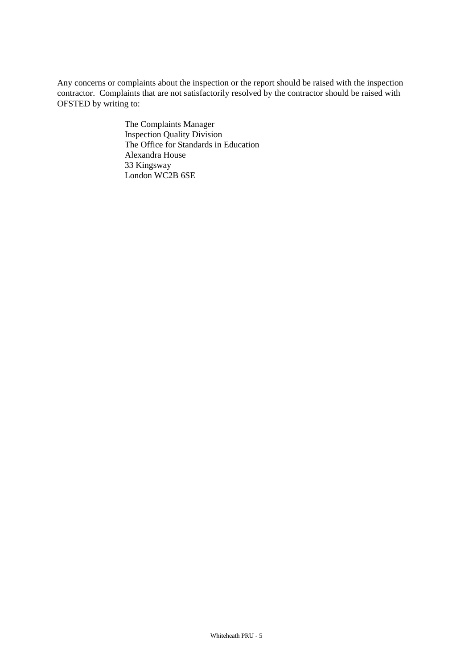Any concerns or complaints about the inspection or the report should be raised with the inspection contractor. Complaints that are not satisfactorily resolved by the contractor should be raised with OFSTED by writing to:

> The Complaints Manager Inspection Quality Division The Office for Standards in Education Alexandra House 33 Kingsway London WC2B 6SE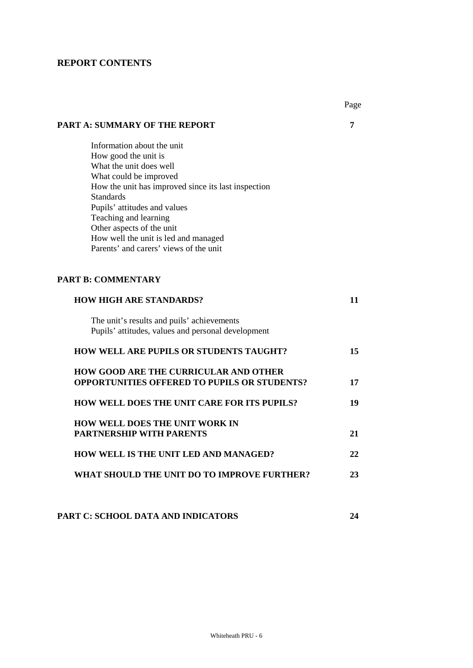# **REPORT CONTENTS**

|                                                                                                     | Page |
|-----------------------------------------------------------------------------------------------------|------|
| <b>PART A: SUMMARY OF THE REPORT</b>                                                                | 7    |
| Information about the unit                                                                          |      |
| How good the unit is                                                                                |      |
| What the unit does well                                                                             |      |
| What could be improved                                                                              |      |
| How the unit has improved since its last inspection<br><b>Standards</b>                             |      |
| Pupils' attitudes and values                                                                        |      |
| Teaching and learning                                                                               |      |
| Other aspects of the unit                                                                           |      |
| How well the unit is led and managed                                                                |      |
| Parents' and carers' views of the unit                                                              |      |
|                                                                                                     |      |
| <b>PART B: COMMENTARY</b>                                                                           |      |
| <b>HOW HIGH ARE STANDARDS?</b>                                                                      | 11   |
| The unit's results and puils' achievements<br>Pupils' attitudes, values and personal development    |      |
|                                                                                                     |      |
| <b>HOW WELL ARE PUPILS OR STUDENTS TAUGHT?</b>                                                      | 15   |
| <b>HOW GOOD ARE THE CURRICULAR AND OTHER</b><br><b>OPPORTUNITIES OFFERED TO PUPILS OR STUDENTS?</b> | 17   |
|                                                                                                     |      |
| <b>HOW WELL DOES THE UNIT CARE FOR ITS PUPILS?</b>                                                  | 19   |
| HOW WELL DOES THE UNIT WORK IN                                                                      |      |
| <b>PARTNERSHIP WITH PARENTS</b>                                                                     | 21   |
| HOW WELL IS THE UNIT LED AND MANAGED?                                                               | 22   |
| WHAT SHOULD THE UNIT DO TO IMPROVE FURTHER?                                                         | 23   |
|                                                                                                     |      |
|                                                                                                     |      |

**PART C: SCHOOL DATA AND INDICATORS 24**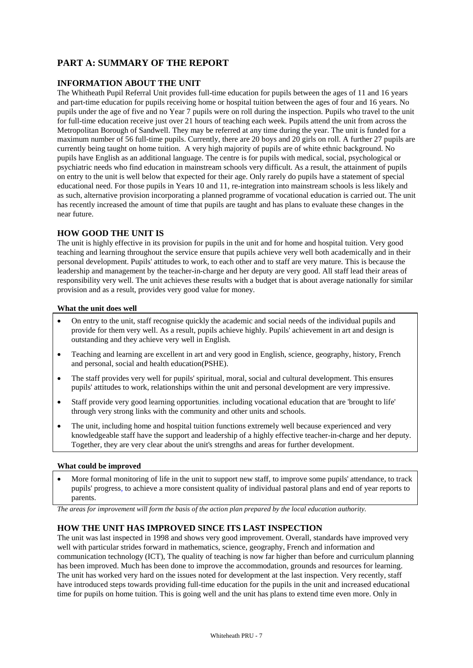# **PART A: SUMMARY OF THE REPORT**

### **INFORMATION ABOUT THE UNIT**

The Whitheath Pupil Referral Unit provides full-time education for pupils between the ages of 11 and 16 years and part-time education for pupils receiving home or hospital tuition between the ages of four and 16 years. No pupils under the age of five and no Year 7 pupils were on roll during the inspection. Pupils who travel to the unit for full-time education receive just over 21 hours of teaching each week. Pupils attend the unit from across the Metropolitan Borough of Sandwell. They may be referred at any time during the year. The unit is funded for a maximum number of 56 full-time pupils. Currently, there are 20 boys and 20 girls on roll. A further 27 pupils are currently being taught on home tuition. A very high majority of pupils are of white ethnic background. No pupils have English as an additional language. The centre is for pupils with medical, social, psychological or psychiatric needs who find education in mainstream schools very difficult. As a result, the attainment of pupils on entry to the unit is well below that expected for their age. Only rarely do pupils have a statement of special educational need. For those pupils in Years 10 and 11, re-integration into mainstream schools is less likely and as such, alternative provision incorporating a planned programme of vocational education is carried out. The unit has recently increased the amount of time that pupils are taught and has plans to evaluate these changes in the near future.

#### **HOW GOOD THE UNIT IS**

The unit is highly effective in its provision for pupils in the unit and for home and hospital tuition. Very good teaching and learning throughout the service ensure that pupils achieve very well both academically and in their personal development. Pupils' attitudes to work, to each other and to staff are very mature. This is because the leadership and management by the teacher-in-charge and her deputy are very good. All staff lead their areas of responsibility very well. The unit achieves these results with a budget that is about average nationally for similar provision and as a result, provides very good value for money.

#### **What the unit does well**

- On entry to the unit, staff recognise quickly the academic and social needs of the individual pupils and provide for them very well. As a result, pupils achieve highly. Pupils' achievement in art and design is outstanding and they achieve very well in English.
- Teaching and learning are excellent in art and very good in English, science, geography, history, French and personal, social and health education(PSHE).
- The staff provides very well for pupils' spiritual, moral, social and cultural development. This ensures pupils' attitudes to work, relationships within the unit and personal development are very impressive.
- Staff provide very good learning opportunities, including vocational education that are 'brought to life' through very strong links with the community and other units and schools.
- The unit, including home and hospital tuition functions extremely well because experienced and very knowledgeable staff have the support and leadership of a highly effective teacher-in-charge and her deputy. Together, they are very clear about the unit's strengths and areas for further development.

#### **What could be improved**

 More formal monitoring of life in the unit to support new staff, to improve some pupils' attendance, to track pupils' progress, to achieve a more consistent quality of individual pastoral plans and end of year reports to parents.

*The areas for improvement will form the basis of the action plan prepared by the local education authority.*

#### **HOW THE UNIT HAS IMPROVED SINCE ITS LAST INSPECTION**

The unit was last inspected in 1998 and shows very good improvement. Overall, standards have improved very well with particular strides forward in mathematics, science, geography, French and information and communication technology (ICT), The quality of teaching is now far higher than before and curriculum planning has been improved. Much has been done to improve the accommodation, grounds and resources for learning. The unit has worked very hard on the issues noted for development at the last inspection. Very recently, staff have introduced steps towards providing full-time education for the pupils in the unit and increased educational time for pupils on home tuition. This is going well and the unit has plans to extend time even more. Only in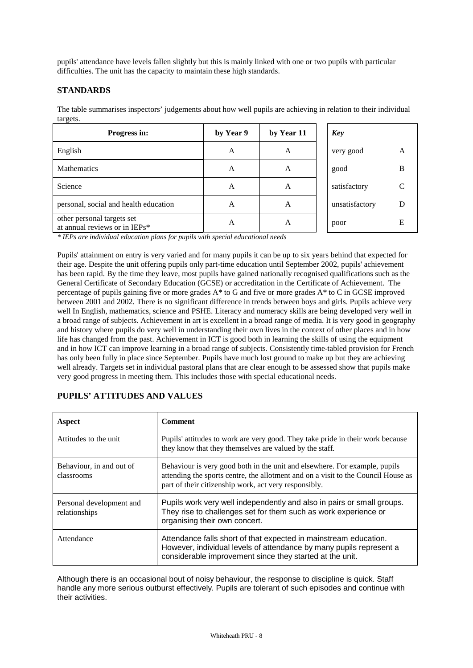pupils' attendance have levels fallen slightly but this is mainly linked with one or two pupils with particular difficulties. The unit has the capacity to maintain these high standards.

## **STANDARDS**

The table summarises inspectors' judgements about how well pupils are achieving in relation to their individual targets.

| Progress in:                                                | by Year 9 | by Year 11 | <b>Key</b>     |   |
|-------------------------------------------------------------|-----------|------------|----------------|---|
| English                                                     | A         | A          | very good      |   |
| <b>Mathematics</b>                                          | A         | A          | good           | в |
| Science                                                     | A         | A          | satisfactory   |   |
| personal, social and health education                       | A         | A          | unsatisfactory |   |
| other personal targets set<br>at annual reviews or in IEPs* | A         | A          | poor           | E |

*\* IEPs are individual education plans for pupils with special educational needs*

Pupils' attainment on entry is very varied and for many pupils it can be up to six years behind that expected for their age. Despite the unit offering pupils only part-time education until September 2002, pupils' achievement has been rapid. By the time they leave, most pupils have gained nationally recognised qualifications such as the General Certificate of Secondary Education (GCSE) or accreditation in the Certificate of Achievement. The percentage of pupils gaining five or more grades A\* to G and five or more grades A\* to C in GCSE improved between 2001 and 2002. There is no significant difference in trends between boys and girls. Pupils achieve very well In English, mathematics, science and PSHE. Literacy and numeracy skills are being developed very well in a broad range of subjects. Achievement in art is excellent in a broad range of media. It is very good in geography and history where pupils do very well in understanding their own lives in the context of other places and in how life has changed from the past. Achievement in ICT is good both in learning the skills of using the equipment and in how ICT can improve learning in a broad range of subjects. Consistently time-tabled provision for French has only been fully in place since September. Pupils have much lost ground to make up but they are achieving well already. Targets set in individual pastoral plans that are clear enough to be assessed show that pupils make very good progress in meeting them. This includes those with special educational needs.

| Aspect                                    | <b>Comment</b>                                                                                                                                                                                                           |
|-------------------------------------------|--------------------------------------------------------------------------------------------------------------------------------------------------------------------------------------------------------------------------|
| Attitudes to the unit                     | Pupils' attitudes to work are very good. They take pride in their work because<br>they know that they themselves are valued by the staff.                                                                                |
| Behaviour, in and out of<br>classrooms    | Behaviour is very good both in the unit and elsewhere. For example, pupils<br>attending the sports centre, the allotment and on a visit to the Council House as<br>part of their citizenship work, act very responsibly. |
| Personal development and<br>relationships | Pupils work very well independently and also in pairs or small groups.<br>They rise to challenges set for them such as work experience or<br>organising their own concert.                                               |
| Attendance                                | Attendance falls short of that expected in mainstream education.<br>However, individual levels of attendance by many pupils represent a<br>considerable improvement since they started at the unit.                      |

## **PUPILS' ATTITUDES AND VALUES**

Although there is an occasional bout of noisy behaviour, the response to discipline is quick. Staff handle any more serious outburst effectively. Pupils are tolerant of such episodes and continue with their activities.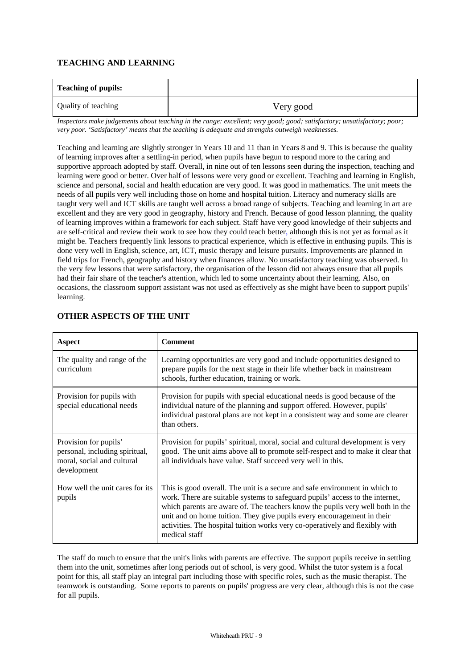## **TEACHING AND LEARNING**

| <b>Teaching of pupils:</b> |           |
|----------------------------|-----------|
| Quality of teaching        | Very good |

*Inspectors make judgements about teaching in the range: excellent; very good; good; satisfactory; unsatisfactory; poor; very poor. 'Satisfactory' means that the teaching is adequate and strengths outweigh weaknesses.*

Teaching and learning are slightly stronger in Years 10 and 11 than in Years 8 and 9. This is because the quality of learning improves after a settling-in period, when pupils have begun to respond more to the caring and supportive approach adopted by staff. Overall, in nine out of ten lessons seen during the inspection, teaching and learning were good or better. Over half of lessons were very good or excellent. Teaching and learning in English, science and personal, social and health education are very good. It was good in mathematics. The unit meets the needs of all pupils very well including those on home and hospital tuition. Literacy and numeracy skills are taught very well and ICT skills are taught well across a broad range of subjects. Teaching and learning in art are excellent and they are very good in geography, history and French. Because of good lesson planning, the quality of learning improves within a framework for each subject. Staff have very good knowledge of their subjects and are self-critical and review their work to see how they could teach better, although this is not yet as formal as it might be. Teachers frequently link lessons to practical experience, which is effective in enthusing pupils. This is done very well in English, science, art, ICT, music therapy and leisure pursuits. Improvements are planned in field trips for French, geography and history when finances allow. No unsatisfactory teaching was observed. In the very few lessons that were satisfactory, the organisation of the lesson did not always ensure that all pupils had their fair share of the teacher's attention, which led to some uncertainty about their learning. Also, on occasions, the classroom support assistant was not used as effectively as she might have been to support pupils' learning.

| <b>Aspect</b>                                                                                        | <b>Comment</b>                                                                                                                                                                                                                                                                                                                                                                                                             |
|------------------------------------------------------------------------------------------------------|----------------------------------------------------------------------------------------------------------------------------------------------------------------------------------------------------------------------------------------------------------------------------------------------------------------------------------------------------------------------------------------------------------------------------|
| The quality and range of the<br>curriculum                                                           | Learning opportunities are very good and include opportunities designed to<br>prepare pupils for the next stage in their life whether back in mainstream<br>schools, further education, training or work.                                                                                                                                                                                                                  |
| Provision for pupils with<br>special educational needs                                               | Provision for pupils with special educational needs is good because of the<br>individual nature of the planning and support offered. However, pupils'<br>individual pastoral plans are not kept in a consistent way and some are clearer<br>than others.                                                                                                                                                                   |
| Provision for pupils'<br>personal, including spiritual,<br>moral, social and cultural<br>development | Provision for pupils' spiritual, moral, social and cultural development is very<br>good. The unit aims above all to promote self-respect and to make it clear that<br>all individuals have value. Staff succeed very well in this.                                                                                                                                                                                         |
| How well the unit cares for its<br>pupils                                                            | This is good overall. The unit is a secure and safe environment in which to<br>work. There are suitable systems to safeguard pupils' access to the internet,<br>which parents are aware of. The teachers know the pupils very well both in the<br>unit and on home tuition. They give pupils every encouragement in their<br>activities. The hospital tuition works very co-operatively and flexibly with<br>medical staff |

## **OTHER ASPECTS OF THE UNIT**

The staff do much to ensure that the unit's links with parents are effective. The support pupils receive in settling them into the unit, sometimes after long periods out of school, is very good. Whilst the tutor system is a focal point for this, all staff play an integral part including those with specific roles, such as the music therapist. The teamwork is outstanding. Some reports to parents on pupils' progress are very clear, although this is not the case for all pupils.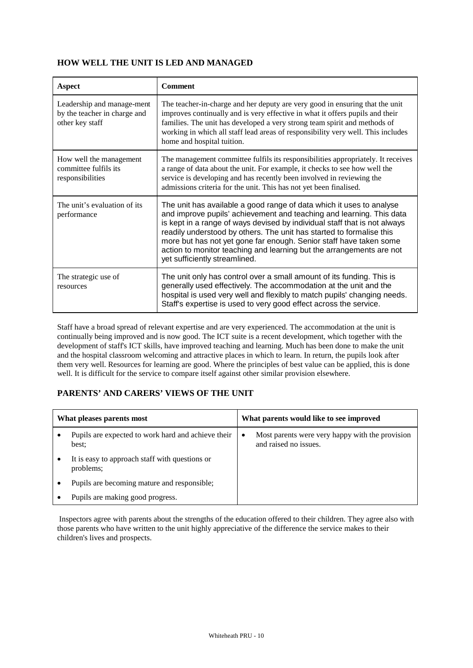## **HOW WELL THE UNIT IS LED AND MANAGED**

| Aspect                                                                        | <b>Comment</b>                                                                                                                                                                                                                                                                                                                                                                                                                                                                   |
|-------------------------------------------------------------------------------|----------------------------------------------------------------------------------------------------------------------------------------------------------------------------------------------------------------------------------------------------------------------------------------------------------------------------------------------------------------------------------------------------------------------------------------------------------------------------------|
| Leadership and manage-ment<br>by the teacher in charge and<br>other key staff | The teacher-in-charge and her deputy are very good in ensuring that the unit<br>improves continually and is very effective in what it offers pupils and their<br>families. The unit has developed a very strong team spirit and methods of<br>working in which all staff lead areas of responsibility very well. This includes<br>home and hospital tuition.                                                                                                                     |
| How well the management<br>committee fulfils its<br>responsibilities          | The management committee fulfils its responsibilities appropriately. It receives<br>a range of data about the unit. For example, it checks to see how well the<br>service is developing and has recently been involved in reviewing the<br>admissions criteria for the unit. This has not yet been finalised.                                                                                                                                                                    |
| The unit's evaluation of its<br>performance                                   | The unit has available a good range of data which it uses to analyse<br>and improve pupils' achievement and teaching and learning. This data<br>is kept in a range of ways devised by individual staff that is not always<br>readily understood by others. The unit has started to formalise this<br>more but has not yet gone far enough. Senior staff have taken some<br>action to monitor teaching and learning but the arrangements are not<br>yet sufficiently streamlined. |
| The strategic use of<br>resources                                             | The unit only has control over a small amount of its funding. This is<br>generally used effectively. The accommodation at the unit and the<br>hospital is used very well and flexibly to match pupils' changing needs.<br>Staff's expertise is used to very good effect across the service.                                                                                                                                                                                      |

Staff have a broad spread of relevant expertise and are very experienced. The accommodation at the unit is continually being improved and is now good. The ICT suite is a recent development, which together with the development of staff's ICT skills, have improved teaching and learning. Much has been done to make the unit and the hospital classroom welcoming and attractive places in which to learn. In return, the pupils look after them very well. Resources for learning are good. Where the principles of best value can be applied, this is done well. It is difficult for the service to compare itself against other similar provision elsewhere.

## **PARENTS' AND CARERS' VIEWS OF THE UNIT**

| What pleases parents most                                   | What parents would like to see improved                                  |
|-------------------------------------------------------------|--------------------------------------------------------------------------|
| Pupils are expected to work hard and achieve their<br>best: | Most parents were very happy with the provision<br>and raised no issues. |
| It is easy to approach staff with questions or<br>problems; |                                                                          |
| Pupils are becoming mature and responsible;                 |                                                                          |
| Pupils are making good progress.                            |                                                                          |

 Inspectors agree with parents about the strengths of the education offered to their children. They agree also with those parents who have written to the unit highly appreciative of the difference the service makes to their children's lives and prospects.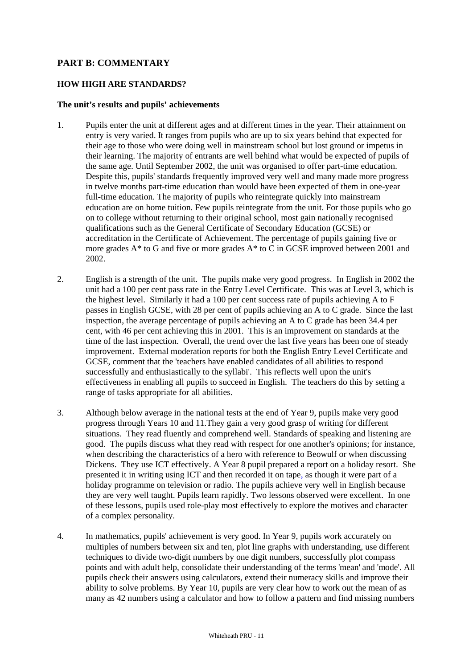## **PART B: COMMENTARY**

## **HOW HIGH ARE STANDARDS?**

#### **The unit's results and pupils' achievements**

- 1. Pupils enter the unit at different ages and at different times in the year. Their attainment on entry is very varied. It ranges from pupils who are up to six years behind that expected for their age to those who were doing well in mainstream school but lost ground or impetus in their learning. The majority of entrants are well behind what would be expected of pupils of the same age. Until September 2002, the unit was organised to offer part-time education. Despite this, pupils' standards frequently improved very well and many made more progress in twelve months part-time education than would have been expected of them in one-year full-time education. The majority of pupils who reintegrate quickly into mainstream education are on home tuition. Few pupils reintegrate from the unit. For those pupils who go on to college without returning to their original school, most gain nationally recognised qualifications such as the General Certificate of Secondary Education (GCSE) or accreditation in the Certificate of Achievement. The percentage of pupils gaining five or more grades A\* to G and five or more grades A\* to C in GCSE improved between 2001 and 2002.
- 2. English is a strength of the unit. The pupils make very good progress. In English in 2002 the unit had a 100 per cent pass rate in the Entry Level Certificate. This was at Level 3, which is the highest level. Similarly it had a 100 per cent success rate of pupils achieving A to F passes in English GCSE, with 28 per cent of pupils achieving an A to C grade. Since the last inspection, the average percentage of pupils achieving an A to C grade has been 34.4 per cent, with 46 per cent achieving this in 2001. This is an improvement on standards at the time of the last inspection. Overall, the trend over the last five years has been one of steady improvement. External moderation reports for both the English Entry Level Certificate and GCSE, comment that the 'teachers have enabled candidates of all abilities to respond successfully and enthusiastically to the syllabi'. This reflects well upon the unit's effectiveness in enabling all pupils to succeed in English. The teachers do this by setting a range of tasks appropriate for all abilities.
- 3. Although below average in the national tests at the end of Year 9, pupils make very good progress through Years 10 and 11.They gain a very good grasp of writing for different situations. They read fluently and comprehend well. Standards of speaking and listening are good. The pupils discuss what they read with respect for one another's opinions; for instance, when describing the characteristics of a hero with reference to Beowulf or when discussing Dickens. They use ICT effectively. A Year 8 pupil prepared a report on a holiday resort. She presented it in writing using ICT and then recorded it on tape, as though it were part of a holiday programme on television or radio. The pupils achieve very well in English because they are very well taught. Pupils learn rapidly. Two lessons observed were excellent. In one of these lessons, pupils used role-play most effectively to explore the motives and character of a complex personality.
- 4. In mathematics, pupils' achievement is very good. In Year 9, pupils work accurately on multiples of numbers between six and ten, plot line graphs with understanding, use different techniques to divide two-digit numbers by one digit numbers, successfully plot compass points and with adult help, consolidate their understanding of the terms 'mean' and 'mode'. All pupils check their answers using calculators, extend their numeracy skills and improve their ability to solve problems. By Year 10, pupils are very clear how to work out the mean of as many as 42 numbers using a calculator and how to follow a pattern and find missing numbers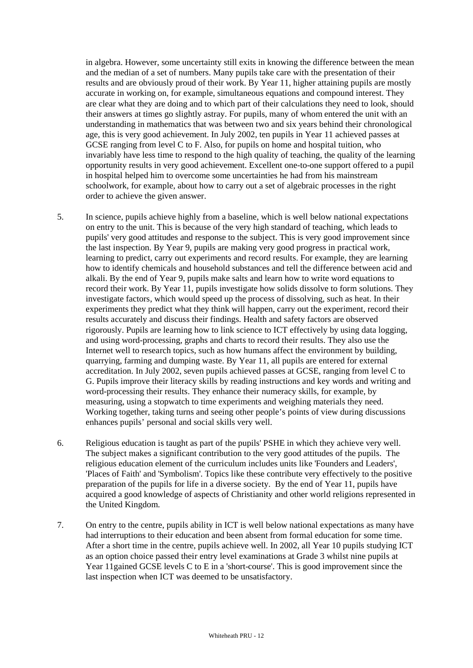in algebra. However, some uncertainty still exits in knowing the difference between the mean and the median of a set of numbers. Many pupils take care with the presentation of their results and are obviously proud of their work. By Year 11, higher attaining pupils are mostly accurate in working on, for example, simultaneous equations and compound interest. They are clear what they are doing and to which part of their calculations they need to look, should their answers at times go slightly astray. For pupils, many of whom entered the unit with an understanding in mathematics that was between two and six years behind their chronological age, this is very good achievement. In July 2002, ten pupils in Year 11 achieved passes at GCSE ranging from level C to F. Also, for pupils on home and hospital tuition, who invariably have less time to respond to the high quality of teaching, the quality of the learning opportunity results in very good achievement. Excellent one-to-one support offered to a pupil in hospital helped him to overcome some uncertainties he had from his mainstream schoolwork, for example, about how to carry out a set of algebraic processes in the right order to achieve the given answer.

- 5. In science, pupils achieve highly from a baseline, which is well below national expectations on entry to the unit. This is because of the very high standard of teaching, which leads to pupils' very good attitudes and response to the subject. This is very good improvement since the last inspection. By Year 9, pupils are making very good progress in practical work, learning to predict, carry out experiments and record results. For example, they are learning how to identify chemicals and household substances and tell the difference between acid and alkali. By the end of Year 9, pupils make salts and learn how to write word equations to record their work. By Year 11, pupils investigate how solids dissolve to form solutions. They investigate factors, which would speed up the process of dissolving, such as heat. In their experiments they predict what they think will happen, carry out the experiment, record their results accurately and discuss their findings. Health and safety factors are observed rigorously. Pupils are learning how to link science to ICT effectively by using data logging, and using word-processing, graphs and charts to record their results. They also use the Internet well to research topics, such as how humans affect the environment by building, quarrying, farming and dumping waste. By Year 11, all pupils are entered for external accreditation. In July 2002, seven pupils achieved passes at GCSE, ranging from level C to G. Pupils improve their literacy skills by reading instructions and key words and writing and word-processing their results. They enhance their numeracy skills, for example, by measuring, using a stopwatch to time experiments and weighing materials they need. Working together, taking turns and seeing other people's points of view during discussions enhances pupils' personal and social skills very well.
- 6. Religious education is taught as part of the pupils' PSHE in which they achieve very well. The subject makes a significant contribution to the very good attitudes of the pupils. The religious education element of the curriculum includes units like 'Founders and Leaders', 'Places of Faith' and 'Symbolism'. Topics like these contribute very effectively to the positive preparation of the pupils for life in a diverse society. By the end of Year 11, pupils have acquired a good knowledge of aspects of Christianity and other world religions represented in the United Kingdom.
- 7. On entry to the centre, pupils ability in ICT is well below national expectations as many have had interruptions to their education and been absent from formal education for some time. After a short time in the centre, pupils achieve well. In 2002, all Year 10 pupils studying ICT as an option choice passed their entry level examinations at Grade 3 whilst nine pupils at Year 11gained GCSE levels C to E in a 'short-course'. This is good improvement since the last inspection when ICT was deemed to be unsatisfactory.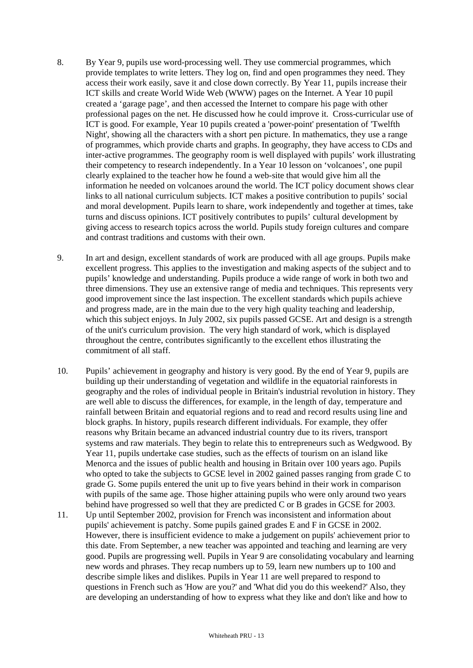- 8. By Year 9, pupils use word-processing well. They use commercial programmes, which provide templates to write letters. They log on, find and open programmes they need. They access their work easily, save it and close down correctly. By Year 11, pupils increase their ICT skills and create World Wide Web (WWW) pages on the Internet. A Year 10 pupil created a 'garage page', and then accessed the Internet to compare his page with other professional pages on the net. He discussed how he could improve it. Cross-curricular use of ICT is good. For example, Year 10 pupils created a 'power-point' presentation of 'Twelfth Night', showing all the characters with a short pen picture. In mathematics, they use a range of programmes, which provide charts and graphs. In geography, they have access to CDs and inter-active programmes. The geography room is well displayed with pupils' work illustrating their competency to research independently. In a Year 10 lesson on 'volcanoes', one pupil clearly explained to the teacher how he found a web-site that would give him all the information he needed on volcanoes around the world. The ICT policy document shows clear links to all national curriculum subjects. ICT makes a positive contribution to pupils' social and moral development. Pupils learn to share, work independently and together at times, take turns and discuss opinions. ICT positively contributes to pupils' cultural development by giving access to research topics across the world. Pupils study foreign cultures and compare and contrast traditions and customs with their own.
- 9. In art and design, excellent standards of work are produced with all age groups. Pupils make excellent progress. This applies to the investigation and making aspects of the subject and to pupils' knowledge and understanding. Pupils produce a wide range of work in both two and three dimensions. They use an extensive range of media and techniques. This represents very good improvement since the last inspection. The excellent standards which pupils achieve and progress made, are in the main due to the very high quality teaching and leadership, which this subject enjoys. In July 2002, six pupils passed GCSE. Art and design is a strength of the unit's curriculum provision. The very high standard of work, which is displayed throughout the centre, contributes significantly to the excellent ethos illustrating the commitment of all staff.
- 10. Pupils' achievement in geography and history is very good. By the end of Year 9, pupils are building up their understanding of vegetation and wildlife in the equatorial rainforests in geography and the roles of individual people in Britain's industrial revolution in history. They are well able to discuss the differences, for example, in the length of day, temperature and rainfall between Britain and equatorial regions and to read and record results using line and block graphs. In history, pupils research different individuals. For example, they offer reasons why Britain became an advanced industrial country due to its rivers, transport systems and raw materials. They begin to relate this to entrepreneurs such as Wedgwood. By Year 11, pupils undertake case studies, such as the effects of tourism on an island like Menorca and the issues of public health and housing in Britain over 100 years ago. Pupils who opted to take the subjects to GCSE level in 2002 gained passes ranging from grade C to grade G. Some pupils entered the unit up to five years behind in their work in comparison with pupils of the same age. Those higher attaining pupils who were only around two years behind have progressed so well that they are predicted C or B grades in GCSE for 2003.
- 11. Up until September 2002, provision for French was inconsistent and information about pupils' achievement is patchy. Some pupils gained grades E and F in GCSE in 2002. However, there is insufficient evidence to make a judgement on pupils' achievement prior to this date. From September, a new teacher was appointed and teaching and learning are very good. Pupils are progressing well. Pupils in Year 9 are consolidating vocabulary and learning new words and phrases. They recap numbers up to 59, learn new numbers up to 100 and describe simple likes and dislikes. Pupils in Year 11 are well prepared to respond to questions in French such as 'How are you?' and 'What did you do this weekend?' Also, they are developing an understanding of how to express what they like and don't like and how to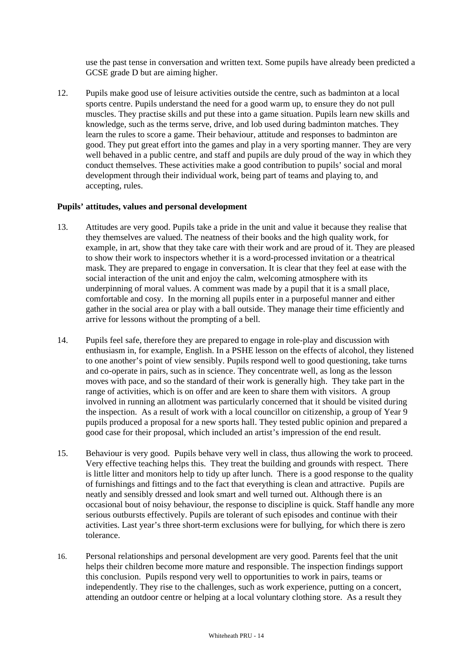use the past tense in conversation and written text. Some pupils have already been predicted a GCSE grade D but are aiming higher.

12. Pupils make good use of leisure activities outside the centre, such as badminton at a local sports centre. Pupils understand the need for a good warm up, to ensure they do not pull muscles. They practise skills and put these into a game situation. Pupils learn new skills and knowledge, such as the terms serve, drive, and lob used during badminton matches. They learn the rules to score a game. Their behaviour, attitude and responses to badminton are good. They put great effort into the games and play in a very sporting manner. They are very well behaved in a public centre, and staff and pupils are duly proud of the way in which they conduct themselves. These activities make a good contribution to pupils' social and moral development through their individual work, being part of teams and playing to, and accepting, rules.

#### **Pupils' attitudes, values and personal development**

- 13. Attitudes are very good. Pupils take a pride in the unit and value it because they realise that they themselves are valued. The neatness of their books and the high quality work, for example, in art, show that they take care with their work and are proud of it. They are pleased to show their work to inspectors whether it is a word-processed invitation or a theatrical mask. They are prepared to engage in conversation. It is clear that they feel at ease with the social interaction of the unit and enjoy the calm, welcoming atmosphere with its underpinning of moral values. A comment was made by a pupil that it is a small place, comfortable and cosy. In the morning all pupils enter in a purposeful manner and either gather in the social area or play with a ball outside. They manage their time efficiently and arrive for lessons without the prompting of a bell.
- 14. Pupils feel safe, therefore they are prepared to engage in role-play and discussion with enthusiasm in, for example, English. In a PSHE lesson on the effects of alcohol, they listened to one another's point of view sensibly. Pupils respond well to good questioning, take turns and co-operate in pairs, such as in science. They concentrate well, as long as the lesson moves with pace, and so the standard of their work is generally high. They take part in the range of activities, which is on offer and are keen to share them with visitors. A group involved in running an allotment was particularly concerned that it should be visited during the inspection. As a result of work with a local councillor on citizenship, a group of Year 9 pupils produced a proposal for a new sports hall. They tested public opinion and prepared a good case for their proposal, which included an artist's impression of the end result.
- 15. Behaviour is very good. Pupils behave very well in class, thus allowing the work to proceed. Very effective teaching helps this. They treat the building and grounds with respect. There is little litter and monitors help to tidy up after lunch. There is a good response to the quality of furnishings and fittings and to the fact that everything is clean and attractive. Pupils are neatly and sensibly dressed and look smart and well turned out. Although there is an occasional bout of noisy behaviour, the response to discipline is quick. Staff handle any more serious outbursts effectively. Pupils are tolerant of such episodes and continue with their activities. Last year's three short-term exclusions were for bullying, for which there is zero tolerance.
- 16. Personal relationships and personal development are very good. Parents feel that the unit helps their children become more mature and responsible. The inspection findings support this conclusion. Pupils respond very well to opportunities to work in pairs, teams or independently. They rise to the challenges, such as work experience, putting on a concert, attending an outdoor centre or helping at a local voluntary clothing store. As a result they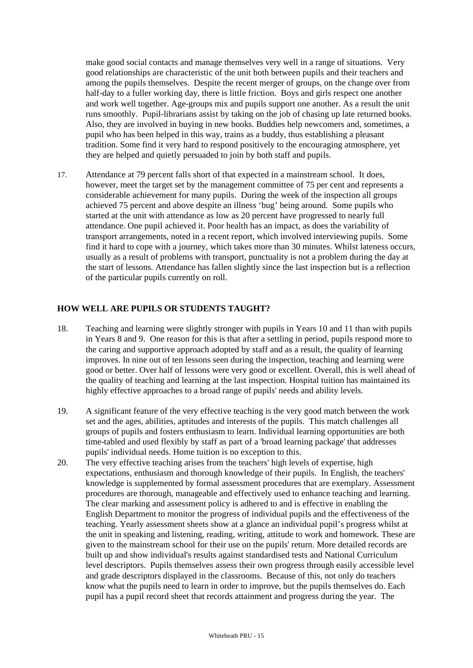make good social contacts and manage themselves very well in a range of situations. Very good relationships are characteristic of the unit both between pupils and their teachers and among the pupils themselves. Despite the recent merger of groups, on the change over from half-day to a fuller working day, there is little friction. Boys and girls respect one another and work well together. Age-groups mix and pupils support one another. As a result the unit runs smoothly. Pupil-librarians assist by taking on the job of chasing up late returned books. Also, they are involved in buying in new books. Buddies help newcomers and, sometimes, a pupil who has been helped in this way, trains as a buddy, thus establishing a pleasant tradition. Some find it very hard to respond positively to the encouraging atmosphere, yet they are helped and quietly persuaded to join by both staff and pupils.

17. Attendance at 79 percent falls short of that expected in a mainstream school. It does, however, meet the target set by the management committee of 75 per cent and represents a considerable achievement for many pupils. During the week of the inspection all groups achieved 75 percent and above despite an illness 'bug' being around. Some pupils who started at the unit with attendance as low as 20 percent have progressed to nearly full attendance. One pupil achieved it. Poor health has an impact, as does the variability of transport arrangements, noted in a recent report, which involved interviewing pupils. Some find it hard to cope with a journey, which takes more than 30 minutes. Whilst lateness occurs, usually as a result of problems with transport, punctuality is not a problem during the day at the start of lessons. Attendance has fallen slightly since the last inspection but is a reflection of the particular pupils currently on roll.

## **HOW WELL ARE PUPILS OR STUDENTS TAUGHT?**

- 18. Teaching and learning were slightly stronger with pupils in Years 10 and 11 than with pupils in Years 8 and 9. One reason for this is that after a settling in period, pupils respond more to the caring and supportive approach adopted by staff and as a result, the quality of learning improves. In nine out of ten lessons seen during the inspection, teaching and learning were good or better. Over half of lessons were very good or excellent. Overall, this is well ahead of the quality of teaching and learning at the last inspection. Hospital tuition has maintained its highly effective approaches to a broad range of pupils' needs and ability levels.
- 19. A significant feature of the very effective teaching is the very good match between the work set and the ages, abilities, aptitudes and interests of the pupils. This match challenges all groups of pupils and fosters enthusiasm to learn. Individual learning opportunities are both time-tabled and used flexibly by staff as part of a 'broad learning package' that addresses pupils' individual needs. Home tuition is no exception to this.
- 20. The very effective teaching arises from the teachers' high levels of expertise, high expectations, enthusiasm and thorough knowledge of their pupils. In English, the teachers' knowledge is supplemented by formal assessment procedures that are exemplary. Assessment procedures are thorough, manageable and effectively used to enhance teaching and learning. The clear marking and assessment policy is adhered to and is effective in enabling the English Department to monitor the progress of individual pupils and the effectiveness of the teaching. Yearly assessment sheets show at a glance an individual pupil's progress whilst at the unit in speaking and listening, reading, writing, attitude to work and homework. These are given to the mainstream school for their use on the pupils' return. More detailed records are built up and show individual's results against standardised tests and National Curriculum level descriptors. Pupils themselves assess their own progress through easily accessible level and grade descriptors displayed in the classrooms. Because of this, not only do teachers know what the pupils need to learn in order to improve, but the pupils themselves do. Each pupil has a pupil record sheet that records attainment and progress during the year. The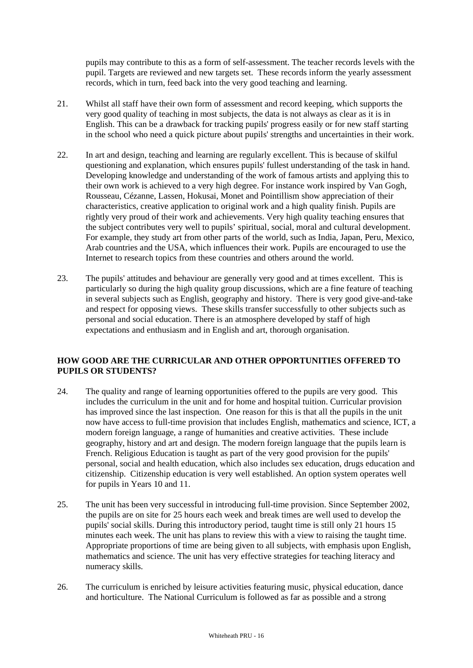pupils may contribute to this as a form of self-assessment. The teacher records levels with the pupil. Targets are reviewed and new targets set. These records inform the yearly assessment records, which in turn, feed back into the very good teaching and learning.

- 21. Whilst all staff have their own form of assessment and record keeping, which supports the very good quality of teaching in most subjects, the data is not always as clear as it is in English. This can be a drawback for tracking pupils' progress easily or for new staff starting in the school who need a quick picture about pupils' strengths and uncertainties in their work.
- 22. In art and design, teaching and learning are regularly excellent. This is because of skilful questioning and explanation, which ensures pupils' fullest understanding of the task in hand. Developing knowledge and understanding of the work of famous artists and applying this to their own work is achieved to a very high degree. For instance work inspired by Van Gogh, Rousseau, Cézanne, Lassen, Hokusai, Monet and Pointillism show appreciation of their characteristics, creative application to original work and a high quality finish. Pupils are rightly very proud of their work and achievements. Very high quality teaching ensures that the subject contributes very well to pupils' spiritual, social, moral and cultural development. For example, they study art from other parts of the world, such as India, Japan, Peru, Mexico, Arab countries and the USA, which influences their work. Pupils are encouraged to use the Internet to research topics from these countries and others around the world.
- 23. The pupils' attitudes and behaviour are generally very good and at times excellent. This is particularly so during the high quality group discussions, which are a fine feature of teaching in several subjects such as English, geography and history. There is very good give-and-take and respect for opposing views. These skills transfer successfully to other subjects such as personal and social education. There is an atmosphere developed by staff of high expectations and enthusiasm and in English and art, thorough organisation.

## **HOW GOOD ARE THE CURRICULAR AND OTHER OPPORTUNITIES OFFERED TO PUPILS OR STUDENTS?**

- 24. The quality and range of learning opportunities offered to the pupils are very good. This includes the curriculum in the unit and for home and hospital tuition. Curricular provision has improved since the last inspection. One reason for this is that all the pupils in the unit now have access to full-time provision that includes English, mathematics and science, ICT, a modern foreign language, a range of humanities and creative activities. These include geography, history and art and design. The modern foreign language that the pupils learn is French. Religious Education is taught as part of the very good provision for the pupils' personal, social and health education, which also includes sex education, drugs education and citizenship. Citizenship education is very well established. An option system operates well for pupils in Years 10 and 11.
- 25. The unit has been very successful in introducing full-time provision. Since September 2002, the pupils are on site for 25 hours each week and break times are well used to develop the pupils' social skills. During this introductory period, taught time is still only 21 hours 15 minutes each week. The unit has plans to review this with a view to raising the taught time. Appropriate proportions of time are being given to all subjects, with emphasis upon English, mathematics and science. The unit has very effective strategies for teaching literacy and numeracy skills.
- 26. The curriculum is enriched by leisure activities featuring music, physical education, dance and horticulture. The National Curriculum is followed as far as possible and a strong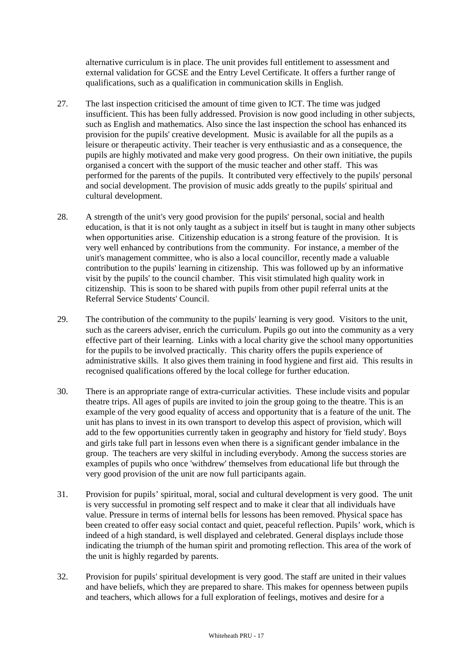alternative curriculum is in place. The unit provides full entitlement to assessment and external validation for GCSE and the Entry Level Certificate. It offers a further range of qualifications, such as a qualification in communication skills in English.

- 27. The last inspection criticised the amount of time given to ICT. The time was judged insufficient. This has been fully addressed. Provision is now good including in other subjects, such as English and mathematics. Also since the last inspection the school has enhanced its provision for the pupils' creative development. Music is available for all the pupils as a leisure or therapeutic activity. Their teacher is very enthusiastic and as a consequence, the pupils are highly motivated and make very good progress. On their own initiative, the pupils organised a concert with the support of the music teacher and other staff. This was performed for the parents of the pupils. It contributed very effectively to the pupils' personal and social development. The provision of music adds greatly to the pupils' spiritual and cultural development.
- 28. A strength of the unit's very good provision for the pupils' personal, social and health education, is that it is not only taught as a subject in itself but is taught in many other subjects when opportunities arise. Citizenship education is a strong feature of the provision. It is very well enhanced by contributions from the community. For instance, a member of the unit's management committee, who is also a local councillor, recently made a valuable contribution to the pupils' learning in citizenship. This was followed up by an informative visit by the pupils' to the council chamber. This visit stimulated high quality work in citizenship. This is soon to be shared with pupils from other pupil referral units at the Referral Service Students' Council.
- 29. The contribution of the community to the pupils' learning is very good. Visitors to the unit, such as the careers adviser, enrich the curriculum. Pupils go out into the community as a very effective part of their learning. Links with a local charity give the school many opportunities for the pupils to be involved practically. This charity offers the pupils experience of administrative skills. It also gives them training in food hygiene and first aid. This results in recognised qualifications offered by the local college for further education.
- 30. There is an appropriate range of extra-curricular activities. These include visits and popular theatre trips. All ages of pupils are invited to join the group going to the theatre. This is an example of the very good equality of access and opportunity that is a feature of the unit. The unit has plans to invest in its own transport to develop this aspect of provision, which will add to the few opportunities currently taken in geography and history for 'field study'. Boys and girls take full part in lessons even when there is a significant gender imbalance in the group. The teachers are very skilful in including everybody. Among the success stories are examples of pupils who once 'withdrew' themselves from educational life but through the very good provision of the unit are now full participants again.
- 31. Provision for pupils' spiritual, moral, social and cultural development is very good. The unit is very successful in promoting self respect and to make it clear that all individuals have value. Pressure in terms of internal bells for lessons has been removed. Physical space has been created to offer easy social contact and quiet, peaceful reflection. Pupils' work, which is indeed of a high standard, is well displayed and celebrated. General displays include those indicating the triumph of the human spirit and promoting reflection. This area of the work of the unit is highly regarded by parents.
- 32. Provision for pupils' spiritual development is very good. The staff are united in their values and have beliefs, which they are prepared to share. This makes for openness between pupils and teachers, which allows for a full exploration of feelings, motives and desire for a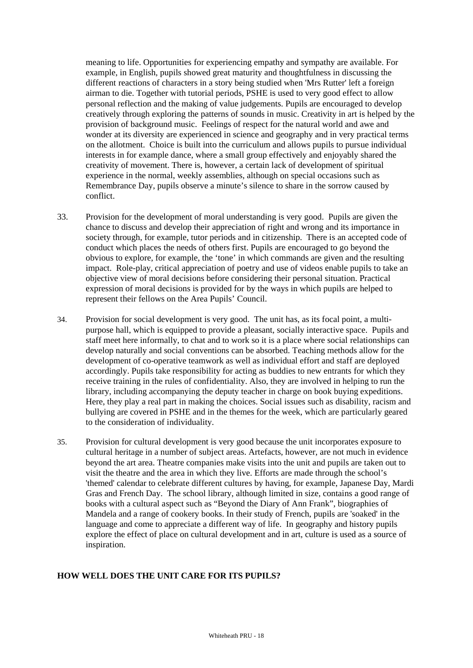meaning to life. Opportunities for experiencing empathy and sympathy are available. For example, in English, pupils showed great maturity and thoughtfulness in discussing the different reactions of characters in a story being studied when 'Mrs Rutter' left a foreign airman to die. Together with tutorial periods, PSHE is used to very good effect to allow personal reflection and the making of value judgements. Pupils are encouraged to develop creatively through exploring the patterns of sounds in music. Creativity in art is helped by the provision of background music. Feelings of respect for the natural world and awe and wonder at its diversity are experienced in science and geography and in very practical terms on the allotment. Choice is built into the curriculum and allows pupils to pursue individual interests in for example dance, where a small group effectively and enjoyably shared the creativity of movement. There is, however, a certain lack of development of spiritual experience in the normal, weekly assemblies, although on special occasions such as Remembrance Day, pupils observe a minute's silence to share in the sorrow caused by conflict.

- 33. Provision for the development of moral understanding is very good. Pupils are given the chance to discuss and develop their appreciation of right and wrong and its importance in society through, for example, tutor periods and in citizenship. There is an accepted code of conduct which places the needs of others first. Pupils are encouraged to go beyond the obvious to explore, for example, the 'tone' in which commands are given and the resulting impact. Role-play, critical appreciation of poetry and use of videos enable pupils to take an objective view of moral decisions before considering their personal situation. Practical expression of moral decisions is provided for by the ways in which pupils are helped to represent their fellows on the Area Pupils' Council.
- 34. Provision for social development is very good. The unit has, as its focal point, a multipurpose hall, which is equipped to provide a pleasant, socially interactive space. Pupils and staff meet here informally, to chat and to work so it is a place where social relationships can develop naturally and social conventions can be absorbed. Teaching methods allow for the development of co-operative teamwork as well as individual effort and staff are deployed accordingly. Pupils take responsibility for acting as buddies to new entrants for which they receive training in the rules of confidentiality. Also, they are involved in helping to run the library, including accompanying the deputy teacher in charge on book buying expeditions. Here, they play a real part in making the choices. Social issues such as disability, racism and bullying are covered in PSHE and in the themes for the week, which are particularly geared to the consideration of individuality.
- 35. Provision for cultural development is very good because the unit incorporates exposure to cultural heritage in a number of subject areas. Artefacts, however, are not much in evidence beyond the art area. Theatre companies make visits into the unit and pupils are taken out to visit the theatre and the area in which they live. Efforts are made through the school's 'themed' calendar to celebrate different cultures by having, for example, Japanese Day, Mardi Gras and French Day. The school library, although limited in size, contains a good range of books with a cultural aspect such as "Beyond the Diary of Ann Frank", biographies of Mandela and a range of cookery books. In their study of French, pupils are 'soaked' in the language and come to appreciate a different way of life. In geography and history pupils explore the effect of place on cultural development and in art, culture is used as a source of inspiration.

## **HOW WELL DOES THE UNIT CARE FOR ITS PUPILS?**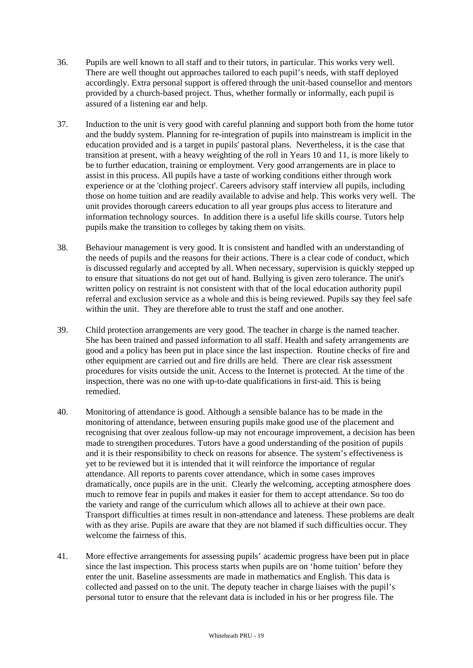- 36. Pupils are well known to all staff and to their tutors, in particular. This works very well. There are well thought out approaches tailored to each pupil's needs, with staff deployed accordingly. Extra personal support is offered through the unit-based counsellor and mentors provided by a church-based project. Thus, whether formally or informally, each pupil is assured of a listening ear and help.
- 37. Induction to the unit is very good with careful planning and support both from the home tutor and the buddy system. Planning for re-integration of pupils into mainstream is implicit in the education provided and is a target in pupils' pastoral plans. Nevertheless, it is the case that transition at present, with a heavy weighting of the roll in Years 10 and 11, is more likely to be to further education, training or employment. Very good arrangements are in place to assist in this process. All pupils have a taste of working conditions either through work experience or at the 'clothing project'. Careers advisory staff interview all pupils, including those on home tuition and are readily available to advise and help. This works very well. The unit provides thorough careers education to all year groups plus access to literature and information technology sources. In addition there is a useful life skills course. Tutors help pupils make the transition to colleges by taking them on visits.
- 38. Behaviour management is very good. It is consistent and handled with an understanding of the needs of pupils and the reasons for their actions. There is a clear code of conduct, which is discussed regularly and accepted by all. When necessary, supervision is quickly stepped up to ensure that situations do not get out of hand. Bullying is given zero tolerance. The unit's written policy on restraint is not consistent with that of the local education authority pupil referral and exclusion service as a whole and this is being reviewed. Pupils say they feel safe within the unit. They are therefore able to trust the staff and one another.
- 39. Child protection arrangements are very good. The teacher in charge is the named teacher. She has been trained and passed information to all staff. Health and safety arrangements are good and a policy has been put in place since the last inspection. Routine checks of fire and other equipment are carried out and fire drills are held. There are clear risk assessment procedures for visits outside the unit. Access to the Internet is protected. At the time of the inspection, there was no one with up-to-date qualifications in first-aid. This is being remedied.
- 40. Monitoring of attendance is good. Although a sensible balance has to be made in the monitoring of attendance, between ensuring pupils make good use of the placement and recognising that over zealous follow-up may not encourage improvement, a decision has been made to strengthen procedures. Tutors have a good understanding of the position of pupils and it is their responsibility to check on reasons for absence. The system's effectiveness is yet to be reviewed but it is intended that it will reinforce the importance of regular attendance. All reports to parents cover attendance, which in some cases improves dramatically, once pupils are in the unit. Clearly the welcoming, accepting atmosphere does much to remove fear in pupils and makes it easier for them to accept attendance. So too do the variety and range of the curriculum which allows all to achieve at their own pace. Transport difficulties at times result in non-attendance and lateness. These problems are dealt with as they arise. Pupils are aware that they are not blamed if such difficulties occur. They welcome the fairness of this.
- 41. More effective arrangements for assessing pupils' academic progress have been put in place since the last inspection. This process starts when pupils are on 'home tuition' before they enter the unit. Baseline assessments are made in mathematics and English. This data is collected and passed on to the unit. The deputy teacher in charge liaises with the pupil's personal tutor to ensure that the relevant data is included in his or her progress file. The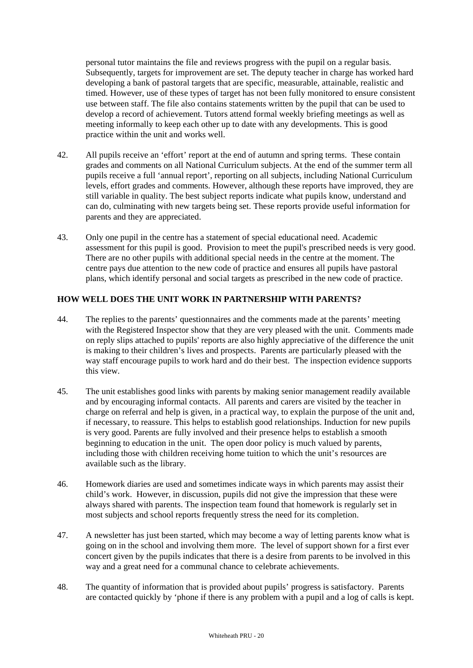personal tutor maintains the file and reviews progress with the pupil on a regular basis. Subsequently, targets for improvement are set. The deputy teacher in charge has worked hard developing a bank of pastoral targets that are specific, measurable, attainable, realistic and timed. However, use of these types of target has not been fully monitored to ensure consistent use between staff. The file also contains statements written by the pupil that can be used to develop a record of achievement. Tutors attend formal weekly briefing meetings as well as meeting informally to keep each other up to date with any developments. This is good practice within the unit and works well.

- 42. All pupils receive an 'effort' report at the end of autumn and spring terms. These contain grades and comments on all National Curriculum subjects. At the end of the summer term all pupils receive a full 'annual report', reporting on all subjects, including National Curriculum levels, effort grades and comments. However, although these reports have improved, they are still variable in quality. The best subject reports indicate what pupils know, understand and can do, culminating with new targets being set. These reports provide useful information for parents and they are appreciated.
- 43. Only one pupil in the centre has a statement of special educational need. Academic assessment for this pupil is good. Provision to meet the pupil's prescribed needs is very good. There are no other pupils with additional special needs in the centre at the moment. The centre pays due attention to the new code of practice and ensures all pupils have pastoral plans, which identify personal and social targets as prescribed in the new code of practice.

## **HOW WELL DOES THE UNIT WORK IN PARTNERSHIP WITH PARENTS?**

- 44. The replies to the parents' questionnaires and the comments made at the parents' meeting with the Registered Inspector show that they are very pleased with the unit. Comments made on reply slips attached to pupils' reports are also highly appreciative of the difference the unit is making to their children's lives and prospects. Parents are particularly pleased with the way staff encourage pupils to work hard and do their best. The inspection evidence supports this view.
- 45. The unit establishes good links with parents by making senior management readily available and by encouraging informal contacts. All parents and carers are visited by the teacher in charge on referral and help is given, in a practical way, to explain the purpose of the unit and, if necessary, to reassure. This helps to establish good relationships. Induction for new pupils is very good. Parents are fully involved and their presence helps to establish a smooth beginning to education in the unit. The open door policy is much valued by parents, including those with children receiving home tuition to which the unit's resources are available such as the library.
- 46. Homework diaries are used and sometimes indicate ways in which parents may assist their child's work. However, in discussion, pupils did not give the impression that these were always shared with parents. The inspection team found that homework is regularly set in most subjects and school reports frequently stress the need for its completion.
- 47. A newsletter has just been started, which may become a way of letting parents know what is going on in the school and involving them more. The level of support shown for a first ever concert given by the pupils indicates that there is a desire from parents to be involved in this way and a great need for a communal chance to celebrate achievements.
- 48. The quantity of information that is provided about pupils' progress is satisfactory. Parents are contacted quickly by 'phone if there is any problem with a pupil and a log of calls is kept.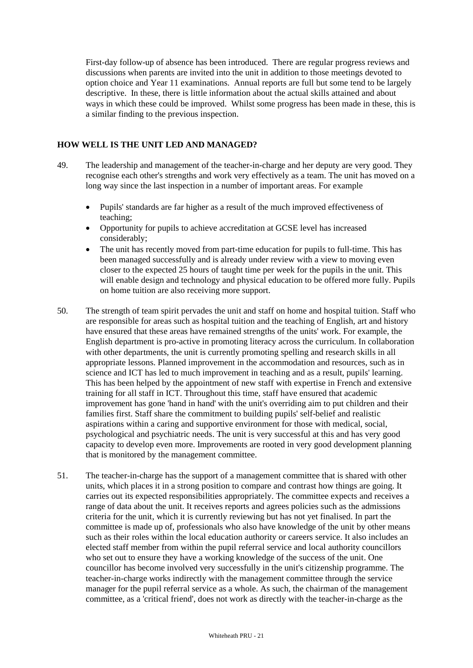First-day follow-up of absence has been introduced. There are regular progress reviews and discussions when parents are invited into the unit in addition to those meetings devoted to option choice and Year 11 examinations. Annual reports are full but some tend to be largely descriptive. In these, there is little information about the actual skills attained and about ways in which these could be improved. Whilst some progress has been made in these, this is a similar finding to the previous inspection.

## **HOW WELL IS THE UNIT LED AND MANAGED?**

- 49. The leadership and management of the teacher-in-charge and her deputy are very good. They recognise each other's strengths and work very effectively as a team. The unit has moved on a long way since the last inspection in a number of important areas. For example
	- Pupils' standards are far higher as a result of the much improved effectiveness of teaching;
	- Opportunity for pupils to achieve accreditation at GCSE level has increased considerably;
	- The unit has recently moved from part-time education for pupils to full-time. This has been managed successfully and is already under review with a view to moving even closer to the expected 25 hours of taught time per week for the pupils in the unit. This will enable design and technology and physical education to be offered more fully. Pupils on home tuition are also receiving more support.
- 50. The strength of team spirit pervades the unit and staff on home and hospital tuition. Staff who are responsible for areas such as hospital tuition and the teaching of English, art and history have ensured that these areas have remained strengths of the units' work. For example, the English department is pro-active in promoting literacy across the curriculum. In collaboration with other departments, the unit is currently promoting spelling and research skills in all appropriate lessons. Planned improvement in the accommodation and resources, such as in science and ICT has led to much improvement in teaching and as a result, pupils' learning. This has been helped by the appointment of new staff with expertise in French and extensive training for all staff in ICT. Throughout this time, staff have ensured that academic improvement has gone 'hand in hand' with the unit's overriding aim to put children and their families first. Staff share the commitment to building pupils' self-belief and realistic aspirations within a caring and supportive environment for those with medical, social, psychological and psychiatric needs. The unit is very successful at this and has very good capacity to develop even more. Improvements are rooted in very good development planning that is monitored by the management committee.
- 51. The teacher-in-charge has the support of a management committee that is shared with other units, which places it in a strong position to compare and contrast how things are going. It carries out its expected responsibilities appropriately. The committee expects and receives a range of data about the unit. It receives reports and agrees policies such as the admissions criteria for the unit, which it is currently reviewing but has not yet finalised. In part the committee is made up of, professionals who also have knowledge of the unit by other means such as their roles within the local education authority or careers service. It also includes an elected staff member from within the pupil referral service and local authority councillors who set out to ensure they have a working knowledge of the success of the unit. One councillor has become involved very successfully in the unit's citizenship programme. The teacher-in-charge works indirectly with the management committee through the service manager for the pupil referral service as a whole. As such, the chairman of the management committee, as a 'critical friend', does not work as directly with the teacher-in-charge as the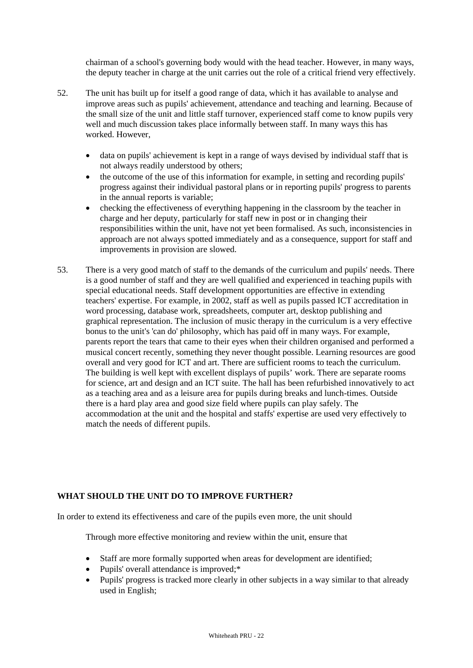chairman of a school's governing body would with the head teacher. However, in many ways, the deputy teacher in charge at the unit carries out the role of a critical friend very effectively.

- 52. The unit has built up for itself a good range of data, which it has available to analyse and improve areas such as pupils' achievement, attendance and teaching and learning. Because of the small size of the unit and little staff turnover, experienced staff come to know pupils very well and much discussion takes place informally between staff. In many ways this has worked. However,
	- data on pupils' achievement is kept in a range of ways devised by individual staff that is not always readily understood by others;
	- the outcome of the use of this information for example, in setting and recording pupils' progress against their individual pastoral plans or in reporting pupils' progress to parents in the annual reports is variable;
	- checking the effectiveness of everything happening in the classroom by the teacher in charge and her deputy, particularly for staff new in post or in changing their responsibilities within the unit, have not yet been formalised. As such, inconsistencies in approach are not always spotted immediately and as a consequence, support for staff and improvements in provision are slowed.
- 53. There is a very good match of staff to the demands of the curriculum and pupils' needs. There is a good number of staff and they are well qualified and experienced in teaching pupils with special educational needs. Staff development opportunities are effective in extending teachers' expertise. For example, in 2002, staff as well as pupils passed ICT accreditation in word processing, database work, spreadsheets, computer art, desktop publishing and graphical representation. The inclusion of music therapy in the curriculum is a very effective bonus to the unit's 'can do' philosophy, which has paid off in many ways. For example, parents report the tears that came to their eyes when their children organised and performed a musical concert recently, something they never thought possible. Learning resources are good overall and very good for ICT and art. There are sufficient rooms to teach the curriculum. The building is well kept with excellent displays of pupils' work. There are separate rooms for science, art and design and an ICT suite. The hall has been refurbished innovatively to act as a teaching area and as a leisure area for pupils during breaks and lunch-times. Outside there is a hard play area and good size field where pupils can play safely. The accommodation at the unit and the hospital and staffs' expertise are used very effectively to match the needs of different pupils.

## **WHAT SHOULD THE UNIT DO TO IMPROVE FURTHER?**

In order to extend its effectiveness and care of the pupils even more, the unit should

Through more effective monitoring and review within the unit, ensure that

- Staff are more formally supported when areas for development are identified;
- Pupils' overall attendance is improved;\*
- Pupils' progress is tracked more clearly in other subjects in a way similar to that already used in English;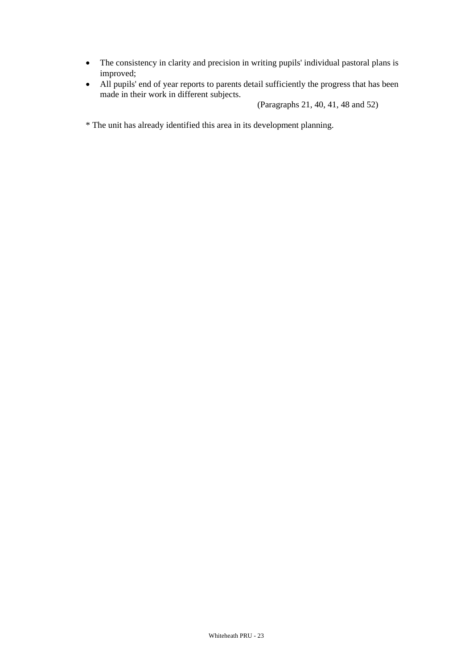- The consistency in clarity and precision in writing pupils' individual pastoral plans is improved;
- All pupils' end of year reports to parents detail sufficiently the progress that has been made in their work in different subjects.

(Paragraphs 21, 40, 41, 48 and 52)

\* The unit has already identified this area in its development planning.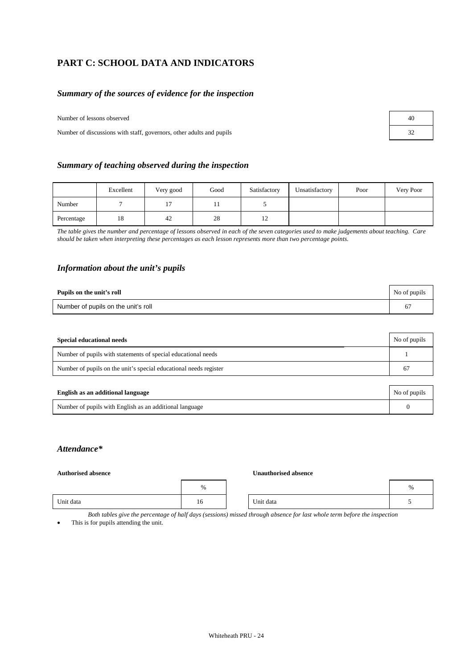# **PART C: SCHOOL DATA AND INDICATORS**

## *Summary of the sources of evidence for the inspection*

Number of lessons observed 40

Number of discussions with staff, governors, other adults and pupils

|  |  |  | Summary of teaching observed during the inspection |
|--|--|--|----------------------------------------------------|
|  |  |  |                                                    |

|            | Excellent | Very good | Good      | Satisfactory | Unsatisfactory | Poor | Very Poor |
|------------|-----------|-----------|-----------|--------------|----------------|------|-----------|
| Number     |           | $\sim$    | <b>TT</b> |              |                |      |           |
| Percentage | 18        | 42        | 28        | ⊥∠           |                |      |           |

*The table gives the number and percentage of lessons observed in each of the seven categories used to make judgements about teaching. Care should be taken when interpreting these percentages as each lesson represents more than two percentage points.* 

#### *Information about the unit's pupils*

| Pupils on the unit's roll           | No of pupils |
|-------------------------------------|--------------|
| Number of pupils on the unit's roll |              |

| Special educational needs                                         | No of pupils |
|-------------------------------------------------------------------|--------------|
| Number of pupils with statements of special educational needs     |              |
| Number of pupils on the unit's special educational needs register | 67           |

| English as an additional language                       | No of pupils |
|---------------------------------------------------------|--------------|
| Number of pupils with English as an additional language |              |

## *Attendance\**

#### **Authorised absence Unauthorised absence**

|           | $\%$ |           | $\frac{0}{6}$ |
|-----------|------|-----------|---------------|
| Unit data | 16   | Unit data |               |

*Both tables give the percentage of half days (sessions) missed through absence for last whole term before the inspection*

This is for pupils attending the unit.

| 32 |  |
|----|--|
|    |  |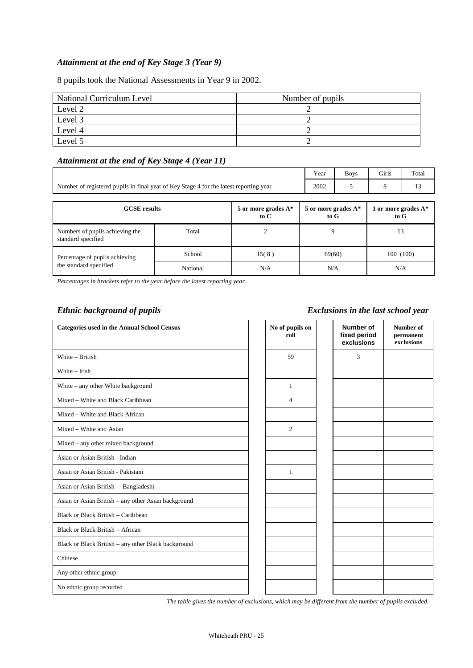## *Attainment at the end of Key Stage 3 (Year 9)*

8 pupils took the National Assessments in Year 9 in 2002.

| National Curriculum Level | Number of pupils |
|---------------------------|------------------|
| Level 2                   |                  |
| Level 3                   |                  |
| Level 4                   |                  |
| Level 5                   |                  |

## *Attainment at the end of Key Stage 4 (Year 11)*

|                                                                                        | Year | <b>Boys</b> | Girls | Total |
|----------------------------------------------------------------------------------------|------|-------------|-------|-------|
| Number of registered pupils in final year of Key Stage 4 for the latest reporting year | 2002 |             |       |       |

| <b>GCSE</b> results                                   |          | 5 or more grades $A^*$<br>to C | 5 or more grades $A^*$<br>to G | 1 or more grades $A^*$<br>to G |
|-------------------------------------------------------|----------|--------------------------------|--------------------------------|--------------------------------|
| Numbers of pupils achieving the<br>standard specified | Total    |                                |                                | 13                             |
| Percentage of pupils achieving                        | School   | 15(8)                          | 69(60)                         | 100 (100)                      |
| the standard specified                                | National | N/A                            | N/A                            | N/A                            |

*Percentages in brackets refer to the year before the latest reporting year.*

## *Ethnic background of pupils Exclusions in the last school year*

| <b>Categories used in the Annual School Census</b>  | No of pupils on<br>roll | Number of<br>fixed period<br>exclusions | Number of<br>permanent<br>exclusions |
|-----------------------------------------------------|-------------------------|-----------------------------------------|--------------------------------------|
| White - British                                     | 59                      | 3                                       |                                      |
| White $-$ Irish                                     |                         |                                         |                                      |
| White – any other White background                  | $\mathbf{1}$            |                                         |                                      |
| Mixed – White and Black Caribbean                   | $\overline{4}$          |                                         |                                      |
| Mixed – White and Black African                     |                         |                                         |                                      |
| Mixed – White and Asian                             | 2                       |                                         |                                      |
| Mixed - any other mixed background                  |                         |                                         |                                      |
| Asian or Asian British - Indian                     |                         |                                         |                                      |
| Asian or Asian British - Pakistani                  | 1                       |                                         |                                      |
| Asian or Asian British - Bangladeshi                |                         |                                         |                                      |
| Asian or Asian British - any other Asian background |                         |                                         |                                      |
| Black or Black British - Caribbean                  |                         |                                         |                                      |
| Black or Black British - African                    |                         |                                         |                                      |
| Black or Black British - any other Black background |                         |                                         |                                      |
| Chinese                                             |                         |                                         |                                      |
| Any other ethnic group                              |                         |                                         |                                      |
| No ethnic group recorded                            |                         |                                         |                                      |

*The table gives the number of exclusions, which may be different from the number of pupils excluded.*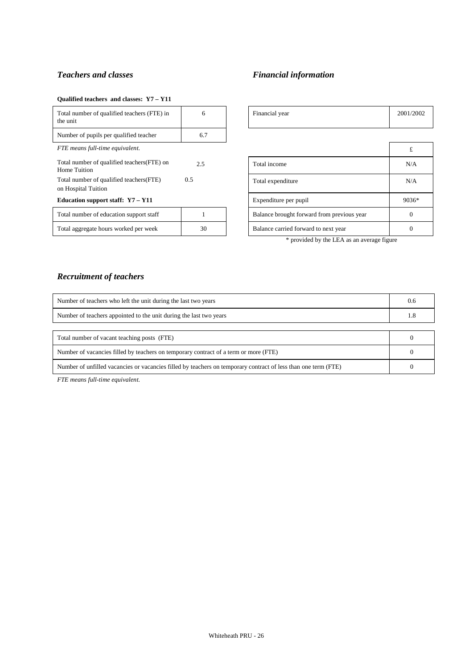#### **Qualified teachers and classes: Y7 – Y11**

| Total number of qualified teachers (FTE) in<br>the unit         | 6   | Financial year                             | 2001/ |
|-----------------------------------------------------------------|-----|--------------------------------------------|-------|
| Number of pupils per qualified teacher                          | 6.7 |                                            |       |
| FTE means full-time equivalent.                                 |     |                                            | £     |
| Total number of qualified teachers (FTE) on<br>Home Tuition     | 2.5 | Total income                               | N/    |
| Total number of qualified teachers (FTE)<br>on Hospital Tuition | 0.5 | Total expenditure                          | N/    |
| Education support staff: Y7 - Y11                               |     | Expenditure per pupil                      | 903   |
| Total number of education support staff                         |     | Balance brought forward from previous year | C     |
| Total aggregate hours worked per week                           | 30  | Balance carried forward to next year       | C     |

# **Teachers and classes** Financial information

| Total number of qualified teachers (FTE) in<br>the unit         | 6   | Financial year                             | 2001/2002 |
|-----------------------------------------------------------------|-----|--------------------------------------------|-----------|
| Number of pupils per qualified teacher                          | 6.7 |                                            |           |
| FTE means full-time equivalent.                                 |     |                                            | £         |
| Total number of qualified teachers (FTE) on<br>Home Tuition     | 2.5 | Total income                               | N/A       |
| Total number of qualified teachers (FTE)<br>on Hospital Tuition | 0.5 | Total expenditure                          | N/A       |
| Education support staff: Y7 - Y11                               |     | Expenditure per pupil                      | 9036*     |
| Total number of education support staff                         |     | Balance brought forward from previous year | $\Omega$  |
| Total aggregate hours worked per week                           | 30  | Balance carried forward to next year       | $\theta$  |

\* provided by the LEA as an average figure

## *Recruitment of teachers*

| Number of teachers who left the unit during the last two years                                                 | 0.6 |
|----------------------------------------------------------------------------------------------------------------|-----|
| Number of teachers appointed to the unit during the last two years                                             | 1.8 |
|                                                                                                                |     |
| Total number of vacant teaching posts (FTE)                                                                    |     |
| Number of vacancies filled by teachers on temporary contract of a term or more (FTE)                           |     |
| Number of unfilled vacancies or vacancies filled by teachers on temporary contract of less than one term (FTE) |     |

*FTE means full-time equivalent.*